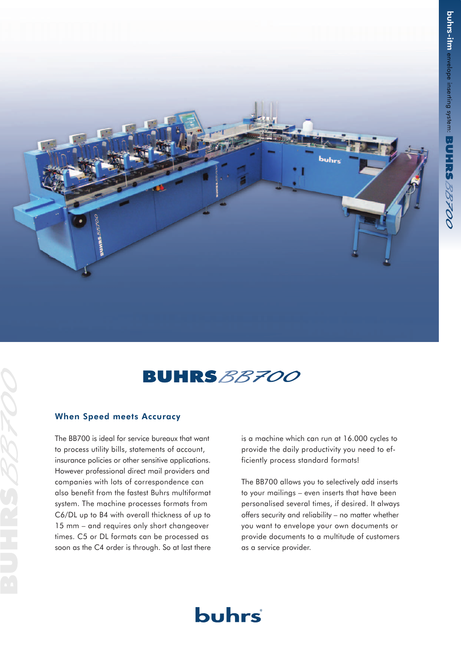



# When Speed meets Accuracy

The BB700 is ideal for service bureaux that want to process utility bills, statements of account, insurance policies or other sensitive applications. However professional direct mail providers and companies with lots of correspondence can also benefit from the fastest Buhrs multiformat system. The machine processes formats from C6/DL up to B4 with overall thickness of up to 15 mm – and requires only short changeover times. C5 or DL formats can be processed as soon as the C4 order is through. So at last there

is a machine which can run at 16.000 cycles to provide the daily productivity you need to efficiently process standard formats!

The BB700 allows you to selectively add inserts to your mailings – even inserts that have been personalised several times, if desired. It always offers security and reliability – no matter whether you want to envelope your own documents or provide documents to a multitude of customers as a service provider.

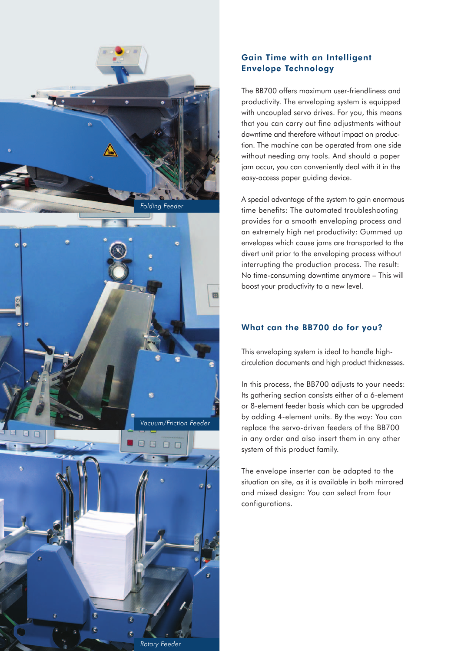

# Gain Time with an Intelligent Envelope Technology

The BB700 offers maximum user-friendliness and productivity. The enveloping system is equipped with uncoupled servo drives. For you, this means that you can carry out fine adjustments without downtime and therefore without impact on production. The machine can be operated from one side without needing any tools. And should a paper jam occur, you can conveniently deal with it in the easy-access paper guiding device.

A special advantage of the system to gain enormous time benefits: The automated troubleshooting provides for a smooth enveloping process and an extremely high net productivity: Gummed up envelopes which cause jams are transported to the divert unit prior to the enveloping process without interrupting the production process. The result: No time-consuming downtime anymore – This will boost your productivity to a new level.

# What can the BB700 do for you?

This enveloping system is ideal to handle highcirculation documents and high product thicknesses.

In this process, the BB700 adjusts to your needs: Its gathering section consists either of a 6-element or 8-element feeder basis which can be upgraded by adding 4-element units. By the way: You can replace the servo-driven feeders of the BB700 in any order and also insert them in any other system of this product family.

The envelope inserter can be adapted to the situation on site, as it is available in both mirrored and mixed design: You can select from four configurations.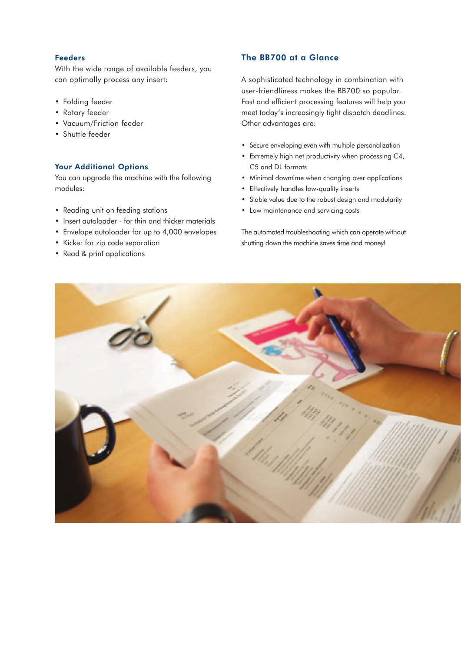## Feeders

With the wide range of available feeders, you can optimally process any insert:

- Folding feeder
- Rotary feeder
- Vacuum/Friction feeder
- Shuttle feeder

## Your Additional Options

You can upgrade the machine with the following modules:

- Reading unit on feeding stations
- Insert autoloader for thin and thicker materials
- Envelope autoloader for up to 4,000 envelopes
- Kicker for zip code separation
- Read & print applications

# The BB700 at a Glance

A sophisticated technology in combination with user-friendliness makes the BB700 so popular. Fast and efficient processing features will help you meet today's increasingly tight dispatch deadlines. Other advantages are:

- Secure enveloping even with multiple personalization
- Extremely high net productivity when processing C4, C5 and DL formats
- Minimal downtime when changing over applications
- Effectively handles low-quality inserts
- Stable value due to the robust design and modularity
- Low maintenance and servicing costs

The automated troubleshooting which can operate without shutting down the machine saves time and money!